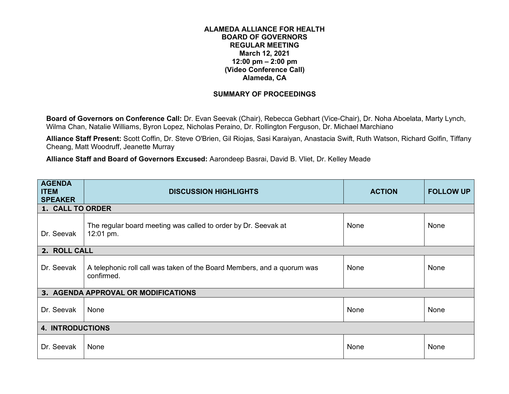## **ALAMEDA ALLIANCE FOR HEALTH BOARD OF GOVERNORS REGULAR MEETING March 12, 2021 12:00 pm – 2:00 pm (Video Conference Call) Alameda, CA**

## **SUMMARY OF PROCEEDINGS**

**Board of Governors on Conference Call:** Dr. Evan Seevak (Chair), Rebecca Gebhart (Vice-Chair), Dr. Noha Aboelata, Marty Lynch, Wilma Chan, Natalie Williams, Byron Lopez, Nicholas Peraino, Dr. Rollington Ferguson, Dr. Michael Marchiano

**Alliance Staff Present:** Scott Coffin, Dr. Steve O'Brien, Gil Riojas, Sasi Karaiyan, Anastacia Swift, Ruth Watson, Richard Golfin, Tiffany Cheang, Matt Woodruff, Jeanette Murray

**Alliance Staff and Board of Governors Excused:** Aarondeep Basrai, David B. Vliet, Dr. Kelley Meade

| <b>AGENDA</b><br><b>ITEM</b><br><b>SPEAKER</b> | <b>DISCUSSION HIGHLIGHTS</b>                                                          | <b>ACTION</b> | <b>FOLLOW UP</b> |  |  |
|------------------------------------------------|---------------------------------------------------------------------------------------|---------------|------------------|--|--|
| 1. CALL TO ORDER                               |                                                                                       |               |                  |  |  |
| Dr. Seevak                                     | The regular board meeting was called to order by Dr. Seevak at<br>12:01 pm.           | None          | None             |  |  |
| 2. ROLL CALL                                   |                                                                                       |               |                  |  |  |
| Dr. Seevak                                     | A telephonic roll call was taken of the Board Members, and a quorum was<br>confirmed. | None          | None             |  |  |
|                                                | 3. AGENDA APPROVAL OR MODIFICATIONS                                                   |               |                  |  |  |
| Dr. Seevak                                     | None                                                                                  | None          | None             |  |  |
| <b>4. INTRODUCTIONS</b>                        |                                                                                       |               |                  |  |  |
| Dr. Seevak                                     | None                                                                                  | None          | None             |  |  |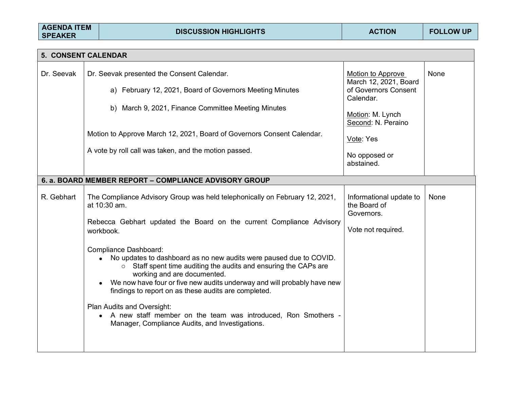| <b>AGENDA ITEM</b><br><b>SPEAKER</b> |  | <b>DISCUSSION HIGHLIGHTS</b>                                                                                                                                                                                                                                                                                                                                                                                                                                                                                                                                                                                                                                              | <b>ACTION</b>                                                                                                                                                         | <b>FOLLOW UP</b> |  |  |  |  |
|--------------------------------------|--|---------------------------------------------------------------------------------------------------------------------------------------------------------------------------------------------------------------------------------------------------------------------------------------------------------------------------------------------------------------------------------------------------------------------------------------------------------------------------------------------------------------------------------------------------------------------------------------------------------------------------------------------------------------------------|-----------------------------------------------------------------------------------------------------------------------------------------------------------------------|------------------|--|--|--|--|
|                                      |  |                                                                                                                                                                                                                                                                                                                                                                                                                                                                                                                                                                                                                                                                           |                                                                                                                                                                       |                  |  |  |  |  |
| 5. CONSENT CALENDAR                  |  |                                                                                                                                                                                                                                                                                                                                                                                                                                                                                                                                                                                                                                                                           |                                                                                                                                                                       |                  |  |  |  |  |
| Dr. Seevak                           |  | Dr. Seevak presented the Consent Calendar.<br>a) February 12, 2021, Board of Governors Meeting Minutes<br>b) March 9, 2021, Finance Committee Meeting Minutes<br>Motion to Approve March 12, 2021, Board of Governors Consent Calendar.<br>A vote by roll call was taken, and the motion passed.                                                                                                                                                                                                                                                                                                                                                                          | Motion to Approve<br>March 12, 2021, Board<br>of Governors Consent<br>Calendar.<br>Motion: M. Lynch<br>Second: N. Peraino<br>Vote: Yes<br>No opposed or<br>abstained. | <b>None</b>      |  |  |  |  |
|                                      |  |                                                                                                                                                                                                                                                                                                                                                                                                                                                                                                                                                                                                                                                                           |                                                                                                                                                                       |                  |  |  |  |  |
|                                      |  | 6. a. BOARD MEMBER REPORT - COMPLIANCE ADVISORY GROUP                                                                                                                                                                                                                                                                                                                                                                                                                                                                                                                                                                                                                     |                                                                                                                                                                       |                  |  |  |  |  |
| R. Gebhart                           |  | The Compliance Advisory Group was held telephonically on February 12, 2021,<br>at 10:30 am.<br>Rebecca Gebhart updated the Board on the current Compliance Advisory<br>workbook.<br>Compliance Dashboard:<br>No updates to dashboard as no new audits were paused due to COVID.<br>○ Staff spent time auditing the audits and ensuring the CAPs are<br>working and are documented.<br>We now have four or five new audits underway and will probably have new<br>findings to report on as these audits are completed.<br>Plan Audits and Oversight:<br>• A new staff member on the team was introduced, Ron Smothers -<br>Manager, Compliance Audits, and Investigations. | Informational update to<br>the Board of<br>Governors.<br>Vote not required.                                                                                           | None             |  |  |  |  |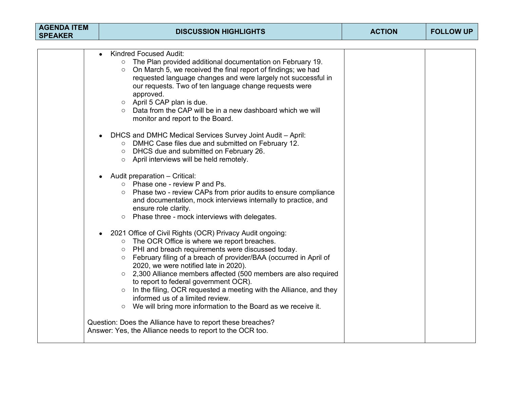| <b>AGENDA ITEM</b><br><b>SPEAKER</b> | <b>DISCUSSION HIGHLIGHTS</b>                                                                                                                                                                                                                  | <b>ACTION</b> | <b>FOLLOW UP</b> |
|--------------------------------------|-----------------------------------------------------------------------------------------------------------------------------------------------------------------------------------------------------------------------------------------------|---------------|------------------|
|                                      | <b>Kindred Focused Audit:</b><br>$\bullet$<br>The Plan provided additional documentation on February 19.                                                                                                                                      |               |                  |
|                                      | On March 5, we received the final report of findings; we had<br>$\circ$<br>requested language changes and were largely not successful in<br>our requests. Two of ten language change requests were<br>approved.<br>○ April 5 CAP plan is due. |               |                  |
|                                      | Data from the CAP will be in a new dashboard which we will<br>monitor and report to the Board.                                                                                                                                                |               |                  |
|                                      | DHCS and DMHC Medical Services Survey Joint Audit - April:<br>$\bullet$<br>O DMHC Case files due and submitted on February 12.<br>o DHCS due and submitted on February 26.<br>o April interviews will be held remotely.                       |               |                  |
|                                      | Audit preparation - Critical:<br>o Phase one - review P and Ps.                                                                                                                                                                               |               |                  |
|                                      | Phase two - review CAPs from prior audits to ensure compliance<br>$\circ$<br>and documentation, mock interviews internally to practice, and<br>ensure role clarity.<br>Phase three - mock interviews with delegates.<br>$\circ$               |               |                  |
|                                      | 2021 Office of Civil Rights (OCR) Privacy Audit ongoing:                                                                                                                                                                                      |               |                  |
|                                      | ○ The OCR Office is where we report breaches.<br>PHI and breach requirements were discussed today.<br>$\circ$                                                                                                                                 |               |                  |
|                                      | February filing of a breach of provider/BAA (occurred in April of<br>$\circ$<br>2020, we were notified late in 2020).                                                                                                                         |               |                  |
|                                      | $\circ$ 2,300 Alliance members affected (500 members are also required<br>to report to federal government OCR).                                                                                                                               |               |                  |
|                                      | In the filing, OCR requested a meeting with the Alliance, and they<br>$\circ$<br>informed us of a limited review.                                                                                                                             |               |                  |
|                                      | We will bring more information to the Board as we receive it.<br>$\circ$                                                                                                                                                                      |               |                  |
|                                      | Question: Does the Alliance have to report these breaches?<br>Answer: Yes, the Alliance needs to report to the OCR too.                                                                                                                       |               |                  |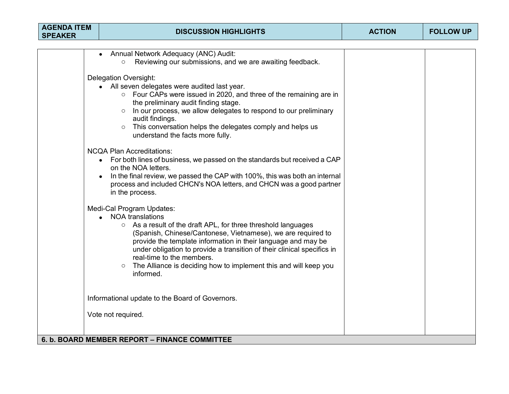| <b>AGENDA ITEM</b><br><b>SPEAKER</b> | <b>DISCUSSION HIGHLIGHTS</b>                                                                                                                                                                                                                                                                                                                                                                                                                               | <b>ACTION</b> | <b>FOLLOW UP</b> |
|--------------------------------------|------------------------------------------------------------------------------------------------------------------------------------------------------------------------------------------------------------------------------------------------------------------------------------------------------------------------------------------------------------------------------------------------------------------------------------------------------------|---------------|------------------|
|                                      |                                                                                                                                                                                                                                                                                                                                                                                                                                                            |               |                  |
|                                      | Annual Network Adequacy (ANC) Audit:<br>Reviewing our submissions, and we are awaiting feedback.<br>$\circ$                                                                                                                                                                                                                                                                                                                                                |               |                  |
|                                      | <b>Delegation Oversight:</b><br>• All seven delegates were audited last year.<br>○ Four CAPs were issued in 2020, and three of the remaining are in<br>the preliminary audit finding stage.<br>In our process, we allow delegates to respond to our preliminary<br>$\circ$<br>audit findings.<br>o This conversation helps the delegates comply and helps us<br>understand the facts more fully.                                                           |               |                  |
|                                      | <b>NCQA Plan Accreditations:</b><br>• For both lines of business, we passed on the standards but received a CAP<br>on the NOA letters.<br>In the final review, we passed the CAP with 100%, this was both an internal<br>process and included CHCN's NOA letters, and CHCN was a good partner<br>in the process.                                                                                                                                           |               |                  |
|                                      | Medi-Cal Program Updates:<br><b>NOA translations</b><br>○ As a result of the draft APL, for three threshold languages<br>(Spanish, Chinese/Cantonese, Vietnamese), we are required to<br>provide the template information in their language and may be<br>under obligation to provide a transition of their clinical specifics in<br>real-time to the members.<br>The Alliance is deciding how to implement this and will keep you<br>$\circ$<br>informed. |               |                  |
|                                      | Informational update to the Board of Governors.                                                                                                                                                                                                                                                                                                                                                                                                            |               |                  |
|                                      | Vote not required.                                                                                                                                                                                                                                                                                                                                                                                                                                         |               |                  |
|                                      | 6. b. BOARD MEMBER REPORT - FINANCE COMMITTEE                                                                                                                                                                                                                                                                                                                                                                                                              |               |                  |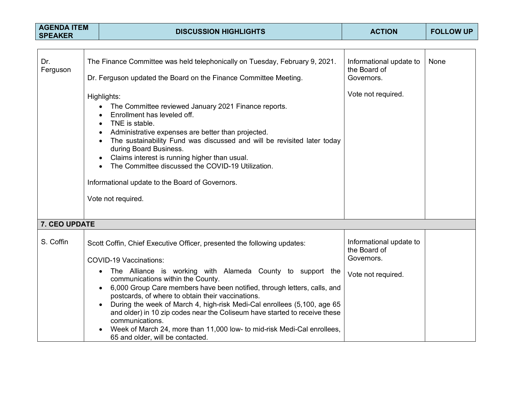| <b>AGENDA ITEM</b><br><b>SPEAKER</b> |  | <b>DISCUSSION HIGHLIGHTS</b>                                                                                                                                                                                                                                                                                                                                                                                                                                                                                                                                                                                                            | <b>ACTION</b>                                                               | <b>FOLLOW UP</b> |
|--------------------------------------|--|-----------------------------------------------------------------------------------------------------------------------------------------------------------------------------------------------------------------------------------------------------------------------------------------------------------------------------------------------------------------------------------------------------------------------------------------------------------------------------------------------------------------------------------------------------------------------------------------------------------------------------------------|-----------------------------------------------------------------------------|------------------|
|                                      |  |                                                                                                                                                                                                                                                                                                                                                                                                                                                                                                                                                                                                                                         |                                                                             |                  |
| Dr.<br>Ferguson                      |  | The Finance Committee was held telephonically on Tuesday, February 9, 2021.<br>Dr. Ferguson updated the Board on the Finance Committee Meeting.                                                                                                                                                                                                                                                                                                                                                                                                                                                                                         | Informational update to<br>the Board of<br>Governors.                       | <b>None</b>      |
|                                      |  | Highlights:<br>The Committee reviewed January 2021 Finance reports.<br>Enrollment has leveled off.<br>TNE is stable.<br>Administrative expenses are better than projected.<br>The sustainability Fund was discussed and will be revisited later today<br>during Board Business.<br>Claims interest is running higher than usual.<br>The Committee discussed the COVID-19 Utilization.<br>Informational update to the Board of Governors.<br>Vote not required.                                                                                                                                                                          | Vote not required.                                                          |                  |
| 7. CEO UPDATE                        |  |                                                                                                                                                                                                                                                                                                                                                                                                                                                                                                                                                                                                                                         |                                                                             |                  |
| S. Coffin                            |  | Scott Coffin, Chief Executive Officer, presented the following updates:<br><b>COVID-19 Vaccinations:</b><br>The Alliance is working with Alameda County to support the<br>communications within the County.<br>6,000 Group Care members have been notified, through letters, calls, and<br>postcards, of where to obtain their vaccinations.<br>During the week of March 4, high-risk Medi-Cal enrollees (5,100, age 65<br>and older) in 10 zip codes near the Coliseum have started to receive these<br>communications.<br>Week of March 24, more than 11,000 low- to mid-risk Medi-Cal enrollees,<br>65 and older, will be contacted. | Informational update to<br>the Board of<br>Governors.<br>Vote not required. |                  |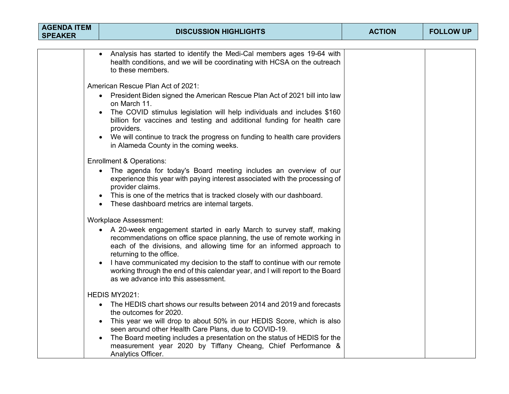| <b>AGENDA ITEM</b><br><b>SPEAKER</b> | <b>DISCUSSION HIGHLIGHTS</b>                                                                                                                                                                                                                                                                                                                                                                                                                            | <b>ACTION</b> | <b>FOLLOW UP</b> |
|--------------------------------------|---------------------------------------------------------------------------------------------------------------------------------------------------------------------------------------------------------------------------------------------------------------------------------------------------------------------------------------------------------------------------------------------------------------------------------------------------------|---------------|------------------|
|                                      |                                                                                                                                                                                                                                                                                                                                                                                                                                                         |               |                  |
|                                      | Analysis has started to identify the Medi-Cal members ages 19-64 with<br>health conditions, and we will be coordinating with HCSA on the outreach<br>to these members.                                                                                                                                                                                                                                                                                  |               |                  |
|                                      | American Rescue Plan Act of 2021:                                                                                                                                                                                                                                                                                                                                                                                                                       |               |                  |
|                                      | • President Biden signed the American Rescue Plan Act of 2021 bill into law<br>on March 11.                                                                                                                                                                                                                                                                                                                                                             |               |                  |
|                                      | The COVID stimulus legislation will help individuals and includes \$160<br>billion for vaccines and testing and additional funding for health care<br>providers.                                                                                                                                                                                                                                                                                        |               |                  |
|                                      | We will continue to track the progress on funding to health care providers<br>$\bullet$<br>in Alameda County in the coming weeks.                                                                                                                                                                                                                                                                                                                       |               |                  |
|                                      | <b>Enrollment &amp; Operations:</b>                                                                                                                                                                                                                                                                                                                                                                                                                     |               |                  |
|                                      | The agenda for today's Board meeting includes an overview of our<br>$\bullet$<br>experience this year with paying interest associated with the processing of<br>provider claims.<br>This is one of the metrics that is tracked closely with our dashboard.<br>$\bullet$<br>These dashboard metrics are internal targets.<br>$\bullet$                                                                                                                   |               |                  |
|                                      | <b>Workplace Assessment:</b>                                                                                                                                                                                                                                                                                                                                                                                                                            |               |                  |
|                                      | • A 20-week engagement started in early March to survey staff, making<br>recommendations on office space planning, the use of remote working in<br>each of the divisions, and allowing time for an informed approach to<br>returning to the office.<br>I have communicated my decision to the staff to continue with our remote<br>working through the end of this calendar year, and I will report to the Board<br>as we advance into this assessment. |               |                  |
|                                      | HEDIS MY2021:                                                                                                                                                                                                                                                                                                                                                                                                                                           |               |                  |
|                                      | The HEDIS chart shows our results between 2014 and 2019 and forecasts<br>$\bullet$<br>the outcomes for 2020.<br>This year we will drop to about 50% in our HEDIS Score, which is also<br>$\bullet$<br>seen around other Health Care Plans, due to COVID-19.                                                                                                                                                                                             |               |                  |
|                                      | The Board meeting includes a presentation on the status of HEDIS for the<br>measurement year 2020 by Tiffany Cheang, Chief Performance &<br>Analytics Officer.                                                                                                                                                                                                                                                                                          |               |                  |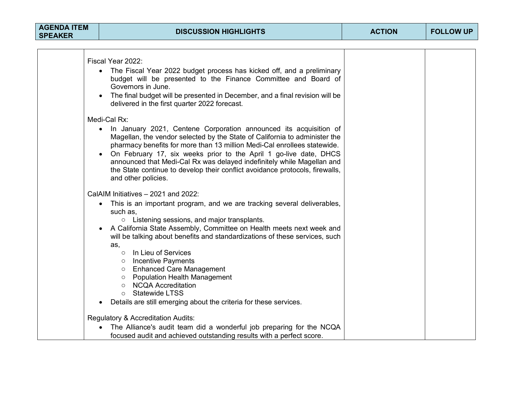| <b>AGENDA ITEM</b><br><b>SPEAKER</b> | <b>DISCUSSION HIGHLIGHTS</b>                                                                                                                                                                                                                                                                                                                                                                                                                                                      | <b>ACTION</b> | <b>FOLLOW UP</b> |
|--------------------------------------|-----------------------------------------------------------------------------------------------------------------------------------------------------------------------------------------------------------------------------------------------------------------------------------------------------------------------------------------------------------------------------------------------------------------------------------------------------------------------------------|---------------|------------------|
|                                      |                                                                                                                                                                                                                                                                                                                                                                                                                                                                                   |               |                  |
|                                      | Fiscal Year 2022:<br>The Fiscal Year 2022 budget process has kicked off, and a preliminary<br>budget will be presented to the Finance Committee and Board of<br>Governors in June.<br>The final budget will be presented in December, and a final revision will be<br>delivered in the first quarter 2022 forecast.                                                                                                                                                               |               |                  |
|                                      | Medi-Cal Rx:                                                                                                                                                                                                                                                                                                                                                                                                                                                                      |               |                  |
|                                      | In January 2021, Centene Corporation announced its acquisition of<br>Magellan, the vendor selected by the State of California to administer the<br>pharmacy benefits for more than 13 million Medi-Cal enrollees statewide.<br>On February 17, six weeks prior to the April 1 go-live date, DHCS<br>announced that Medi-Cal Rx was delayed indefinitely while Magellan and<br>the State continue to develop their conflict avoidance protocols, firewalls,<br>and other policies. |               |                  |
|                                      | CalAIM Initiatives - 2021 and 2022:                                                                                                                                                                                                                                                                                                                                                                                                                                               |               |                  |
|                                      | This is an important program, and we are tracking several deliverables,<br>$\bullet$<br>such as,<br>○ Listening sessions, and major transplants.                                                                                                                                                                                                                                                                                                                                  |               |                  |
|                                      | A California State Assembly, Committee on Health meets next week and<br>$\bullet$<br>will be talking about benefits and standardizations of these services, such<br>as,                                                                                                                                                                                                                                                                                                           |               |                  |
|                                      | In Lieu of Services<br>$\circ$<br>o Incentive Payments<br>○ Enhanced Care Management                                                                                                                                                                                                                                                                                                                                                                                              |               |                  |
|                                      | o Population Health Management<br><b>NCQA Accreditation</b><br>$\circ$<br><b>Statewide LTSS</b><br>$\circ$                                                                                                                                                                                                                                                                                                                                                                        |               |                  |
|                                      | Details are still emerging about the criteria for these services.<br>$\bullet$                                                                                                                                                                                                                                                                                                                                                                                                    |               |                  |
|                                      | Regulatory & Accreditation Audits:                                                                                                                                                                                                                                                                                                                                                                                                                                                |               |                  |
|                                      | The Alliance's audit team did a wonderful job preparing for the NCQA<br>focused audit and achieved outstanding results with a perfect score.                                                                                                                                                                                                                                                                                                                                      |               |                  |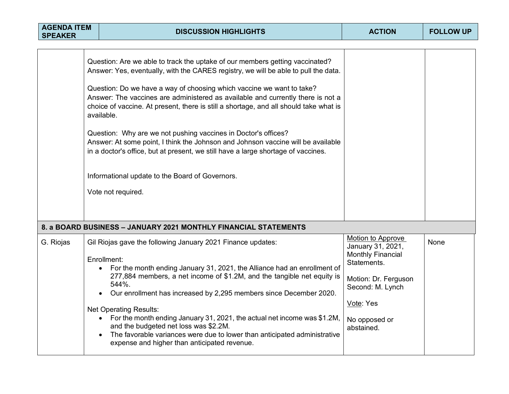| <b>AGENDA ITEM</b><br><b>SPEAKER</b> | <b>DISCUSSION HIGHLIGHTS</b>                                                                                                                                                                                                                                                                                                                                                                                                                                                                                                                                                                                                                                                                                                                               | <b>ACTION</b>                                                                                                                                                             | <b>FOLLOW UP</b> |
|--------------------------------------|------------------------------------------------------------------------------------------------------------------------------------------------------------------------------------------------------------------------------------------------------------------------------------------------------------------------------------------------------------------------------------------------------------------------------------------------------------------------------------------------------------------------------------------------------------------------------------------------------------------------------------------------------------------------------------------------------------------------------------------------------------|---------------------------------------------------------------------------------------------------------------------------------------------------------------------------|------------------|
|                                      | Question: Are we able to track the uptake of our members getting vaccinated?<br>Answer: Yes, eventually, with the CARES registry, we will be able to pull the data.<br>Question: Do we have a way of choosing which vaccine we want to take?<br>Answer: The vaccines are administered as available and currently there is not a<br>choice of vaccine. At present, there is still a shortage, and all should take what is<br>available.<br>Question: Why are we not pushing vaccines in Doctor's offices?<br>Answer: At some point, I think the Johnson and Johnson vaccine will be available<br>in a doctor's office, but at present, we still have a large shortage of vaccines.<br>Informational update to the Board of Governors.<br>Vote not required. |                                                                                                                                                                           |                  |
|                                      | 8. a BOARD BUSINESS - JANUARY 2021 MONTHLY FINANCIAL STATEMENTS                                                                                                                                                                                                                                                                                                                                                                                                                                                                                                                                                                                                                                                                                            |                                                                                                                                                                           |                  |
| G. Riojas                            | Gil Riojas gave the following January 2021 Finance updates:<br>Enrollment:<br>For the month ending January 31, 2021, the Alliance had an enrollment of<br>277,884 members, a net income of \$1.2M, and the tangible net equity is<br>544%.<br>Our enrollment has increased by 2,295 members since December 2020.<br><b>Net Operating Results:</b><br>For the month ending January 31, 2021, the actual net income was \$1.2M,<br>and the budgeted net loss was \$2.2M.<br>The favorable variances were due to lower than anticipated administrative<br>expense and higher than anticipated revenue.                                                                                                                                                        | Motion to Approve<br>January 31, 2021,<br><b>Monthly Financial</b><br>Statements.<br>Motion: Dr. Ferguson<br>Second: M. Lynch<br>Vote: Yes<br>No opposed or<br>abstained. | None             |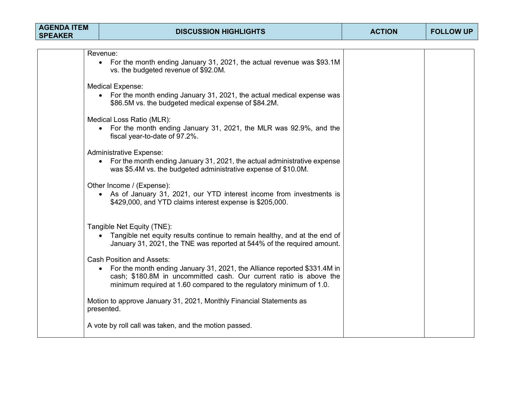| <b>AGENDA ITEM</b><br><b>SPEAKER</b> | <b>DISCUSSION HIGHLIGHTS</b>                                                                                                                                                                                                                                | <b>ACTION</b> | <b>FOLLOW UP</b> |
|--------------------------------------|-------------------------------------------------------------------------------------------------------------------------------------------------------------------------------------------------------------------------------------------------------------|---------------|------------------|
|                                      |                                                                                                                                                                                                                                                             |               |                  |
|                                      | Revenue:<br>• For the month ending January 31, 2021, the actual revenue was \$93.1M<br>vs. the budgeted revenue of \$92.0M.                                                                                                                                 |               |                  |
|                                      | <b>Medical Expense:</b><br>• For the month ending January 31, 2021, the actual medical expense was<br>\$86.5M vs. the budgeted medical expense of \$84.2M.                                                                                                  |               |                  |
|                                      | Medical Loss Ratio (MLR):<br>• For the month ending January 31, 2021, the MLR was 92.9%, and the<br>fiscal year-to-date of 97.2%.                                                                                                                           |               |                  |
|                                      | <b>Administrative Expense:</b><br>• For the month ending January 31, 2021, the actual administrative expense<br>was \$5.4M vs. the budgeted administrative expense of \$10.0M.                                                                              |               |                  |
|                                      | Other Income / (Expense):<br>• As of January 31, 2021, our YTD interest income from investments is<br>\$429,000, and YTD claims interest expense is \$205,000.                                                                                              |               |                  |
|                                      | Tangible Net Equity (TNE):<br>• Tangible net equity results continue to remain healthy, and at the end of<br>January 31, 2021, the TNE was reported at 544% of the required amount.                                                                         |               |                  |
|                                      | <b>Cash Position and Assets:</b><br>• For the month ending January 31, 2021, the Alliance reported \$331.4M in<br>cash; \$180.8M in uncommitted cash. Our current ratio is above the<br>minimum required at 1.60 compared to the regulatory minimum of 1.0. |               |                  |
|                                      | Motion to approve January 31, 2021, Monthly Financial Statements as<br>presented.                                                                                                                                                                           |               |                  |
|                                      | A vote by roll call was taken, and the motion passed.                                                                                                                                                                                                       |               |                  |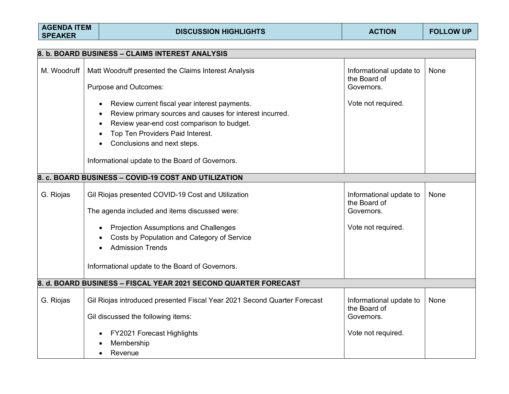| <b>AGENDA ITEM</b><br><b>SPEAKER</b> | <b>DISCUSSION HIGHLIGHTS</b>                                                                                                                                                                                                                                                     | <b>ACTION</b>                                                               | <b>FOLLOW UP</b> |
|--------------------------------------|----------------------------------------------------------------------------------------------------------------------------------------------------------------------------------------------------------------------------------------------------------------------------------|-----------------------------------------------------------------------------|------------------|
|                                      | 8. b. BOARD BUSINESS - CLAIMS INTEREST ANALYSIS                                                                                                                                                                                                                                  |                                                                             |                  |
| M. Woodruff                          | Matt Woodruff presented the Claims Interest Analysis<br><b>Purpose and Outcomes:</b>                                                                                                                                                                                             | Informational update to<br>the Board of<br>Governors.                       | None             |
|                                      | Review current fiscal year interest payments.<br>Review primary sources and causes for interest incurred.<br>Review year-end cost comparison to budget.<br>Top Ten Providers Paid Interest.<br>Conclusions and next steps.<br>Informational update to the Board of Governors.    | Vote not required.                                                          |                  |
|                                      | 8. c. BOARD BUSINESS - COVID-19 COST AND UTILIZATION                                                                                                                                                                                                                             |                                                                             |                  |
| G. Riojas                            | Gil Riojas presented COVID-19 Cost and Utilization<br>The agenda included and items discussed were:<br><b>Projection Assumptions and Challenges</b><br>Costs by Population and Category of Service<br><b>Admission Trends</b><br>Informational update to the Board of Governors. | Informational update to<br>the Board of<br>Governors.<br>Vote not required. | None             |
|                                      | 8. d. BOARD BUSINESS – FISCAL YEAR 2021 SECOND QUARTER FORECAST                                                                                                                                                                                                                  |                                                                             |                  |
| G. Riojas                            | Gil Riojas introduced presented Fiscal Year 2021 Second Quarter Forecast<br>Gil discussed the following items:                                                                                                                                                                   | Informational update to<br>the Board of<br>Governors.                       | None             |
|                                      | FY2021 Forecast Highlights<br>Membership<br>Revenue                                                                                                                                                                                                                              | Vote not required.                                                          |                  |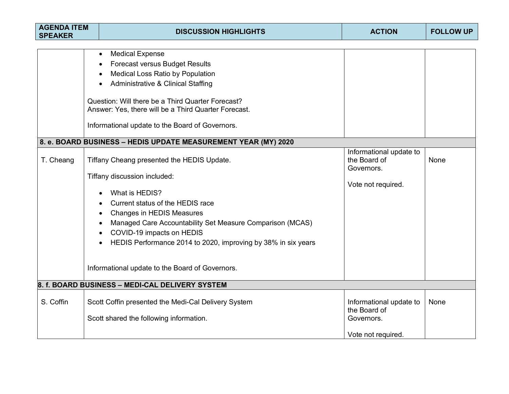| <b>AGENDA ITEM</b><br><b>SPEAKER</b> | <b>DISCUSSION HIGHLIGHTS</b>                                                                                                                                                                                                                                                                                                                                                                                                                                                                                                                                                                                                                                          | <b>ACTION</b>                                                               | <b>FOLLOW UP</b> |
|--------------------------------------|-----------------------------------------------------------------------------------------------------------------------------------------------------------------------------------------------------------------------------------------------------------------------------------------------------------------------------------------------------------------------------------------------------------------------------------------------------------------------------------------------------------------------------------------------------------------------------------------------------------------------------------------------------------------------|-----------------------------------------------------------------------------|------------------|
| T. Cheang                            | <b>Medical Expense</b><br>$\bullet$<br><b>Forecast versus Budget Results</b><br>Medical Loss Ratio by Population<br><b>Administrative &amp; Clinical Staffing</b><br>Question: Will there be a Third Quarter Forecast?<br>Answer: Yes, there will be a Third Quarter Forecast.<br>Informational update to the Board of Governors.<br>8. e. BOARD BUSINESS - HEDIS UPDATE MEASUREMENT YEAR (MY) 2020<br>Tiffany Cheang presented the HEDIS Update.<br>Tiffany discussion included:<br>What is HEDIS?<br>Current status of the HEDIS race<br><b>Changes in HEDIS Measures</b><br>Managed Care Accountability Set Measure Comparison (MCAS)<br>COVID-19 impacts on HEDIS | Informational update to<br>the Board of<br>Governors.<br>Vote not required. | None             |
|                                      | HEDIS Performance 2014 to 2020, improving by 38% in six years<br>Informational update to the Board of Governors.                                                                                                                                                                                                                                                                                                                                                                                                                                                                                                                                                      |                                                                             |                  |
|                                      | 8. f. BOARD BUSINESS - MEDI-CAL DELIVERY SYSTEM                                                                                                                                                                                                                                                                                                                                                                                                                                                                                                                                                                                                                       |                                                                             |                  |
| S. Coffin                            | Scott Coffin presented the Medi-Cal Delivery System<br>Scott shared the following information.                                                                                                                                                                                                                                                                                                                                                                                                                                                                                                                                                                        | Informational update to<br>the Board of<br>Governors.                       | None             |
|                                      |                                                                                                                                                                                                                                                                                                                                                                                                                                                                                                                                                                                                                                                                       | Vote not required.                                                          |                  |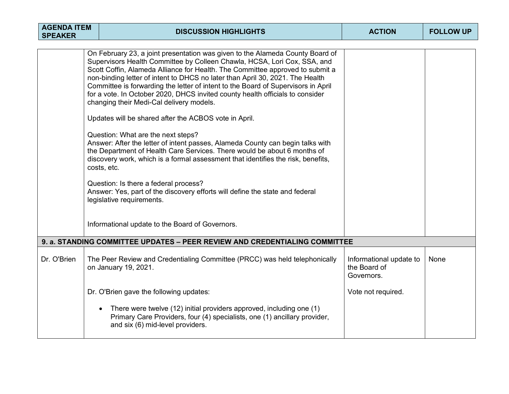| <b>AGENDA ITEM</b><br><b>SPEAKER</b> |  | <b>DISCUSSION HIGHLIGHTS</b>                                                                                                                                                                                                                                                                                                                                                                                                                                                                                                                                                                                                                                                                                                                                                                                                                                                                                                                                                                                                                                        | <b>ACTION</b>                                         | <b>FOLLOW UP</b> |
|--------------------------------------|--|---------------------------------------------------------------------------------------------------------------------------------------------------------------------------------------------------------------------------------------------------------------------------------------------------------------------------------------------------------------------------------------------------------------------------------------------------------------------------------------------------------------------------------------------------------------------------------------------------------------------------------------------------------------------------------------------------------------------------------------------------------------------------------------------------------------------------------------------------------------------------------------------------------------------------------------------------------------------------------------------------------------------------------------------------------------------|-------------------------------------------------------|------------------|
|                                      |  | On February 23, a joint presentation was given to the Alameda County Board of<br>Supervisors Health Committee by Colleen Chawla, HCSA, Lori Cox, SSA, and<br>Scott Coffin, Alameda Alliance for Health. The Committee approved to submit a<br>non-binding letter of intent to DHCS no later than April 30, 2021. The Health<br>Committee is forwarding the letter of intent to the Board of Supervisors in April<br>for a vote. In October 2020, DHCS invited county health officials to consider<br>changing their Medi-Cal delivery models.<br>Updates will be shared after the ACBOS vote in April.<br>Question: What are the next steps?<br>Answer: After the letter of intent passes, Alameda County can begin talks with<br>the Department of Health Care Services. There would be about 6 months of<br>discovery work, which is a formal assessment that identifies the risk, benefits,<br>costs, etc.<br>Question: Is there a federal process?<br>Answer: Yes, part of the discovery efforts will define the state and federal<br>legislative requirements. |                                                       |                  |
|                                      |  | Informational update to the Board of Governors.                                                                                                                                                                                                                                                                                                                                                                                                                                                                                                                                                                                                                                                                                                                                                                                                                                                                                                                                                                                                                     |                                                       |                  |
|                                      |  | 9. a. STANDING COMMITTEE UPDATES - PEER REVIEW AND CREDENTIALING COMMITTEE                                                                                                                                                                                                                                                                                                                                                                                                                                                                                                                                                                                                                                                                                                                                                                                                                                                                                                                                                                                          |                                                       |                  |
| Dr. O'Brien                          |  | The Peer Review and Credentialing Committee (PRCC) was held telephonically<br>on January 19, 2021.                                                                                                                                                                                                                                                                                                                                                                                                                                                                                                                                                                                                                                                                                                                                                                                                                                                                                                                                                                  | Informational update to<br>the Board of<br>Governors. | None             |
|                                      |  | Dr. O'Brien gave the following updates:                                                                                                                                                                                                                                                                                                                                                                                                                                                                                                                                                                                                                                                                                                                                                                                                                                                                                                                                                                                                                             | Vote not required.                                    |                  |
|                                      |  | There were twelve (12) initial providers approved, including one (1)<br>$\bullet$<br>Primary Care Providers, four (4) specialists, one (1) ancillary provider,<br>and six (6) mid-level providers.                                                                                                                                                                                                                                                                                                                                                                                                                                                                                                                                                                                                                                                                                                                                                                                                                                                                  |                                                       |                  |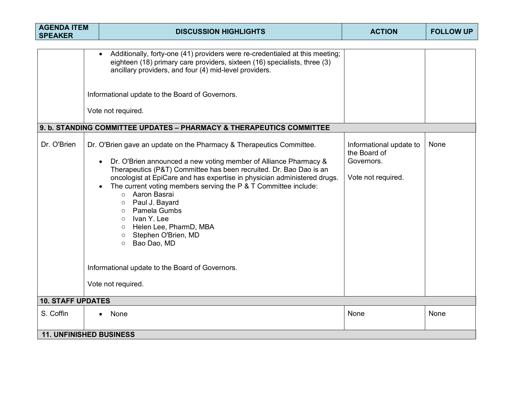| <b>AGENDA ITEM</b><br><b>SPEAKER</b>                                 | <b>DISCUSSION HIGHLIGHTS</b>                                                                                                                                                                                                                                                                                                                                                                                                                                                                                                                                                                                          | <b>ACTION</b>                                                               | <b>FOLLOW UP</b> |  |  |  |  |
|----------------------------------------------------------------------|-----------------------------------------------------------------------------------------------------------------------------------------------------------------------------------------------------------------------------------------------------------------------------------------------------------------------------------------------------------------------------------------------------------------------------------------------------------------------------------------------------------------------------------------------------------------------------------------------------------------------|-----------------------------------------------------------------------------|------------------|--|--|--|--|
|                                                                      | Additionally, forty-one (41) providers were re-credentialed at this meeting;<br>eighteen (18) primary care providers, sixteen (16) specialists, three (3)<br>ancillary providers, and four (4) mid-level providers.<br>Informational update to the Board of Governors.<br>Vote not required.                                                                                                                                                                                                                                                                                                                          |                                                                             |                  |  |  |  |  |
| 9. b. STANDING COMMITTEE UPDATES - PHARMACY & THERAPEUTICS COMMITTEE |                                                                                                                                                                                                                                                                                                                                                                                                                                                                                                                                                                                                                       |                                                                             |                  |  |  |  |  |
| Dr. O'Brien                                                          | Dr. O'Brien gave an update on the Pharmacy & Therapeutics Committee.<br>Dr. O'Brien announced a new voting member of Alliance Pharmacy &<br>Therapeutics (P&T) Committee has been recruited. Dr. Bao Dao is an<br>oncologist at EpiCare and has expertise in physician administered drugs.<br>The current voting members serving the P & T Committee include:<br>o Aaron Basrai<br>Paul J. Bayard<br>$\circ$<br>Pamela Gumbs<br>$\circ$<br>Ivan Y. Lee<br>$\circ$<br>Helen Lee, PharmD, MBA<br>$\circ$<br>Stephen O'Brien, MD<br>$\circ$<br>Bao Dao, MD<br>$\circ$<br>Informational update to the Board of Governors. | Informational update to<br>the Board of<br>Governors.<br>Vote not required. | None             |  |  |  |  |
|                                                                      | Vote not required.                                                                                                                                                                                                                                                                                                                                                                                                                                                                                                                                                                                                    |                                                                             |                  |  |  |  |  |
| <b>10. STAFF UPDATES</b>                                             |                                                                                                                                                                                                                                                                                                                                                                                                                                                                                                                                                                                                                       |                                                                             |                  |  |  |  |  |
| S. Coffin                                                            | None                                                                                                                                                                                                                                                                                                                                                                                                                                                                                                                                                                                                                  | None                                                                        | None             |  |  |  |  |
| <b>11. UNFINISHED BUSINESS</b>                                       |                                                                                                                                                                                                                                                                                                                                                                                                                                                                                                                                                                                                                       |                                                                             |                  |  |  |  |  |